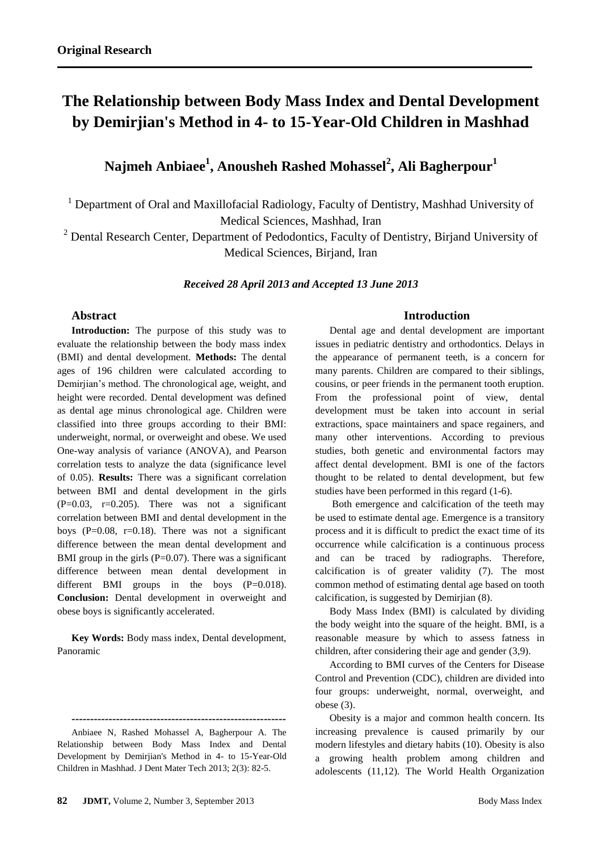# **The Relationship between Body Mass Index and Dental Development by Demirjian's Method in 4- to 15-Year-Old Children in Mashhad**

# **Najmeh Anbiaee<sup>1</sup> , Anousheh Rashed Mohassel<sup>2</sup> , Ali Bagherpour<sup>1</sup>**

<sup>1</sup> Department of Oral and Maxillofacial Radiology, Faculty of Dentistry, Mashhad University of Medical Sciences, Mashhad, Iran

 $2$  Dental Research Center, Department of Pedodontics, Faculty of Dentistry, Birjand University of Medical Sciences, Birjand, Iran

*Received 28 April 2013 and Accepted 13 June 2013*

# **Abstract**

**Introduction:** The purpose of this study was to evaluate the relationship between the body mass index (BMI) and dental development. **Methods:** The dental ages of 196 children were calculated according to Demirjian's method. The chronological age, weight, and height were recorded. Dental development was defined as dental age minus chronological age. Children were classified into three groups according to their BMI: underweight, normal, or overweight and obese. We used One-way analysis of variance (ANOVA), and Pearson correlation tests to analyze the data (significance level of 0.05). **Results:** There was a significant correlation between BMI and dental development in the girls  $(P=0.03, r=0.205)$ . There was not a significant correlation between BMI and dental development in the boys (P= $0.08$ , r= $0.18$ ). There was not a significant difference between the mean dental development and BMI group in the girls  $(P=0.07)$ . There was a significant difference between mean dental development in different BMI groups in the boys (P=0.018). **Conclusion:** Dental development in overweight and obese boys is significantly accelerated.

**Key Words:** Body mass index, Dental development, Panoramic

# **Introduction**

Dental age and dental development are important issues in pediatric dentistry and orthodontics. Delays in the appearance of permanent teeth, is a concern for many parents. Children are compared to their siblings, cousins, or peer friends in the permanent tooth eruption. From the professional point of view, dental development must be taken into account in serial extractions, space maintainers and space regainers, and many other interventions. According to previous studies, both genetic and environmental factors may affect dental development. BMI is one of the factors thought to be related to dental development, but few studies have been performed in this regard (1-6).

Both emergence and calcification of the teeth may be used to estimate dental age. Emergence is a transitory process and it is difficult to predict the exact time of its occurrence while calcification is a continuous process and can be traced by radiographs. Therefore, calcification is of greater validity (7). The most common method of estimating dental age based on tooth calcification, is suggested by Demirjian (8).

Body Mass Index (BMI) is calculated by dividing the body weight into the square of the height. BMI, is a reasonable measure by which to assess fatness in children, after considering their age and gender (3,9).

According to BMI curves of the Centers for Disease Control and Prevention (CDC), children are divided into four groups: underweight, normal, overweight, and obese (3).

Obesity is a major and common health concern. Its increasing prevalence is caused primarily by our modern lifestyles and dietary habits (10). Obesity is also a growing health problem among children and adolescents (11,12). The World Health Organization

**<sup>----------------------------------------------------------</sup>** Anbiaee N, Rashed Mohassel A, Bagherpour A. The Relationship between Body Mass Index and Dental Development by Demirjian's Method in 4- to 15-Year-Old Children in Mashhad. J Dent Mater Tech 2013; 2(3): 82-5.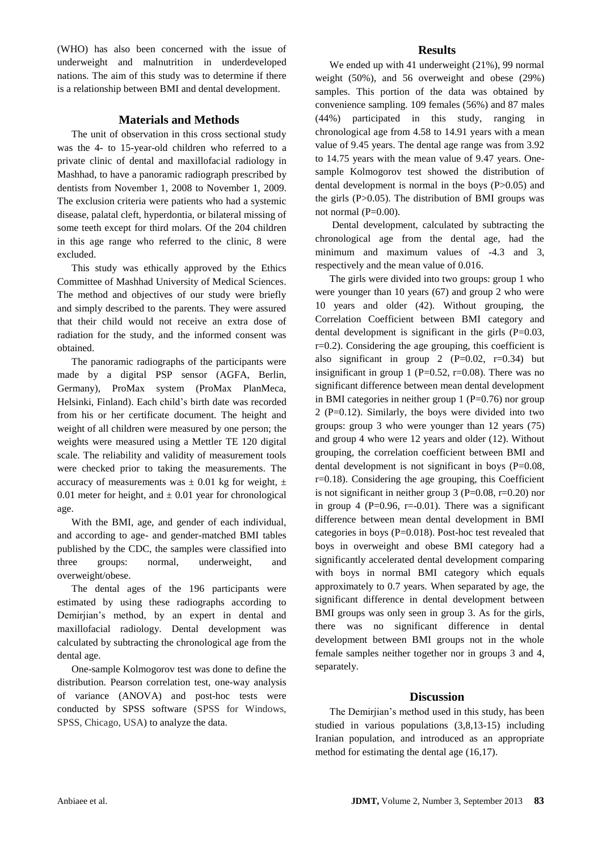(WHO) has also been concerned with the issue of underweight and malnutrition in underdeveloped nations. The aim of this study was to determine if there is a relationship between BMI and dental development.

### **Materials and Methods**

The unit of observation in this cross sectional study was the 4- to 15-year-old children who referred to a private clinic of dental and maxillofacial radiology in Mashhad, to have a panoramic radiograph prescribed by dentists from November 1, 2008 to November 1, 2009. The exclusion criteria were patients who had a systemic disease, palatal cleft, hyperdontia, or bilateral missing of some teeth except for third molars. Of the 204 children in this age range who referred to the clinic, 8 were excluded.

This study was ethically approved by the Ethics Committee of Mashhad University of Medical Sciences. The method and objectives of our study were briefly and simply described to the parents. They were assured that their child would not receive an extra dose of radiation for the study, and the informed consent was obtained.

The panoramic radiographs of the participants were made by a digital PSP sensor (AGFA, Berlin, Germany), ProMax system (ProMax PlanMeca, Helsinki, Finland). Each child's birth date was recorded from his or her certificate document. The height and weight of all children were measured by one person; the weights were measured using a Mettler TE 120 digital scale. The reliability and validity of measurement tools were checked prior to taking the measurements. The accuracy of measurements was  $\pm$  0.01 kg for weight,  $\pm$ 0.01 meter for height, and  $\pm$  0.01 year for chronological age.

With the BMI, age, and gender of each individual, and according to age- and gender-matched BMI tables published by the CDC, the samples were classified into three groups: normal, underweight, and overweight/obese.

The dental ages of the 196 participants were estimated by using these radiographs according to Demirjian's method, by an expert in dental and maxillofacial radiology. Dental development was calculated by subtracting the chronological age from the dental age.

One-sample Kolmogorov test was done to define the distribution. Pearson correlation test, one-way analysis of variance (ANOVA) and post-hoc tests were conducted by SPSS software (SPSS for Windows, SPSS, Chicago, USA) to analyze the data.

#### **Results**

We ended up with 41 underweight (21%), 99 normal weight (50%), and 56 overweight and obese (29%) samples. This portion of the data was obtained by convenience sampling. 109 females (56%) and 87 males (44%) participated in this study, ranging in chronological age from 4.58 to 14.91 years with a mean value of 9.45 years. The dental age range was from 3.92 to 14.75 years with the mean value of 9.47 years. Onesample Kolmogorov test showed the distribution of dental development is normal in the boys (P>0.05) and the girls  $(P>0.05)$ . The distribution of BMI groups was not normal (P=0.00).

Dental development, calculated by subtracting the chronological age from the dental age, had the minimum and maximum values of -4.3 and 3, respectively and the mean value of 0.016.

The girls were divided into two groups: group 1 who were younger than 10 years (67) and group 2 who were 10 years and older (42). Without grouping, the Correlation Coefficient between BMI category and dental development is significant in the girls  $(P=0.03,$ r=0.2). Considering the age grouping, this coefficient is also significant in group 2  $(P=0.02, r=0.34)$  but insignificant in group 1 (P=0.52, r=0.08). There was no significant difference between mean dental development in BMI categories in neither group  $1 (P=0.76)$  nor group 2 (P=0.12). Similarly, the boys were divided into two groups: group 3 who were younger than 12 years (75) and group 4 who were 12 years and older (12). Without grouping, the correlation coefficient between BMI and dental development is not significant in boys (P=0.08, r=0.18). Considering the age grouping, this Coefficient is not significant in neither group 3 ( $P=0.08$ ,  $r=0.20$ ) nor in group 4 ( $P=0.96$ ,  $r=-0.01$ ). There was a significant difference between mean dental development in BMI categories in boys (P=0.018). Post-hoc test revealed that boys in overweight and obese BMI category had a significantly accelerated dental development comparing with boys in normal BMI category which equals approximately to 0.7 years. When separated by age, the significant difference in dental development between BMI groups was only seen in group 3. As for the girls, there was no significant difference in dental development between BMI groups not in the whole female samples neither together nor in groups 3 and 4, separately.

#### **Discussion**

The Demirjian's method used in this study, has been studied in various populations (3,8,13-15) including Iranian population, and introduced as an appropriate method for estimating the dental age (16,17).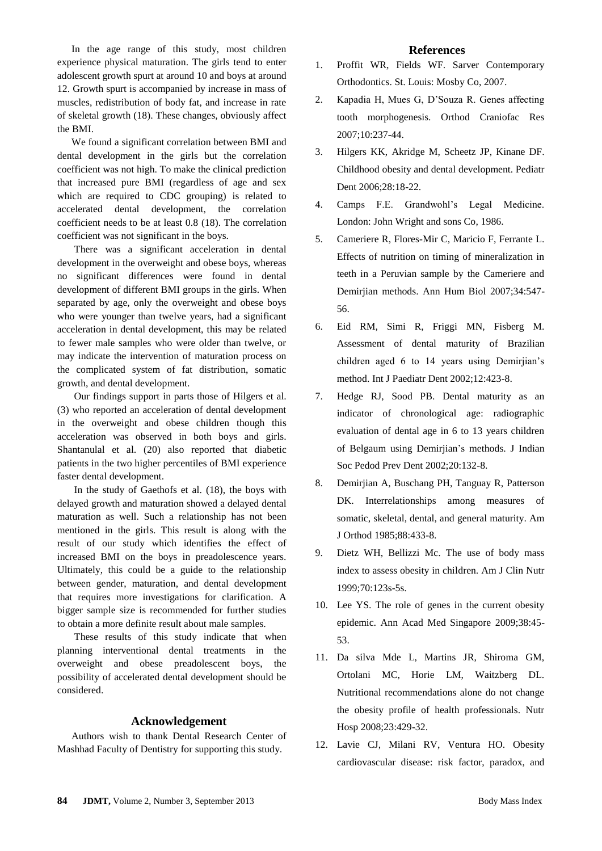In the age range of this study, most children experience physical maturation. The girls tend to enter adolescent growth spurt at around 10 and boys at around 12. Growth spurt is accompanied by increase in mass of muscles, redistribution of body fat, and increase in rate of skeletal growth (18). These changes, obviously affect the BMI.

We found a significant correlation between BMI and dental development in the girls but the correlation coefficient was not high. To make the clinical prediction that increased pure BMI (regardless of age and sex which are required to CDC grouping) is related to accelerated dental development, the correlation coefficient needs to be at least 0.8 (18). The correlation coefficient was not significant in the boys.

There was a significant acceleration in dental development in the overweight and obese boys, whereas no significant differences were found in dental development of different BMI groups in the girls. When separated by age, only the overweight and obese boys who were younger than twelve years, had a significant acceleration in dental development, this may be related to fewer male samples who were older than twelve, or may indicate the intervention of maturation process on the complicated system of fat distribution, somatic growth, and dental development.

Our findings support in parts those of Hilgers et al. (3) who reported an acceleration of dental development in the overweight and obese children though this acceleration was observed in both boys and girls. Shantanulal et al. (20) also reported that diabetic patients in the two higher percentiles of BMI experience faster dental development.

In the study of Gaethofs et al. (18), the boys with delayed growth and maturation showed a delayed dental maturation as well. Such a relationship has not been mentioned in the girls. This result is along with the result of our study which identifies the effect of increased BMI on the boys in preadolescence years. Ultimately, this could be a guide to the relationship between gender, maturation, and dental development that requires more investigations for clarification. A bigger sample size is recommended for further studies to obtain a more definite result about male samples.

These results of this study indicate that when planning interventional dental treatments in the overweight and obese preadolescent boys, the possibility of accelerated dental development should be considered.

#### **Acknowledgement**

Authors wish to thank Dental Research Center of Mashhad Faculty of Dentistry for supporting this study.

#### **References**

- 1. Proffit WR, Fields WF. Sarver Contemporary Orthodontics. St. Louis: Mosby Co, 2007.
- 2. Kapadia H, Mues G, D'Souza R. Genes affecting tooth morphogenesis. Orthod Craniofac Res 2007;10:237-44.
- 3. Hilgers KK, Akridge M, Scheetz JP, Kinane DF. Childhood obesity and dental development. Pediatr Dent 2006;28:18-22.
- 4. Camps F.E. Grandwohl's Legal Medicine. London: John Wright and sons Co, 1986.
- 5. Cameriere R, Flores-Mir C, Maricio F, Ferrante L. Effects of nutrition on timing of mineralization in teeth in a Peruvian sample by the Cameriere and Demirjian methods. Ann Hum Biol 2007;34:547- 56.
- 6. Eid RM, Simi R, Friggi MN, Fisberg M. Assessment of dental maturity of Brazilian children aged 6 to 14 years using Demirjian's method. Int J Paediatr Dent 2002;12:423-8.
- 7. Hedge RJ, Sood PB. Dental maturity as an indicator of chronological age: radiographic evaluation of dental age in 6 to 13 years children of Belgaum using Demirjian's methods. J Indian Soc Pedod Prev Dent 2002;20:132-8.
- 8. Demirjian A, Buschang PH, Tanguay R, Patterson DK. Interrelationships among measures of somatic, skeletal, dental, and general maturity. Am J Orthod 1985;88:433-8.
- 9. Dietz WH, Bellizzi Mc. The use of body mass index to assess obesity in children. Am J Clin Nutr 1999;70:123s-5s.
- 10. Lee YS. The role of genes in the current obesity epidemic. Ann Acad Med Singapore 2009;38:45- 53.
- 11. Da silva Mde L, Martins JR, Shiroma GM, Ortolani MC, Horie LM, Waitzberg DL. Nutritional recommendations alone do not change the obesity profile of health professionals. Nutr Hosp 2008;23:429-32.
- 12. Lavie CJ, Milani RV, Ventura HO. Obesity cardiovascular disease: risk factor, paradox, and